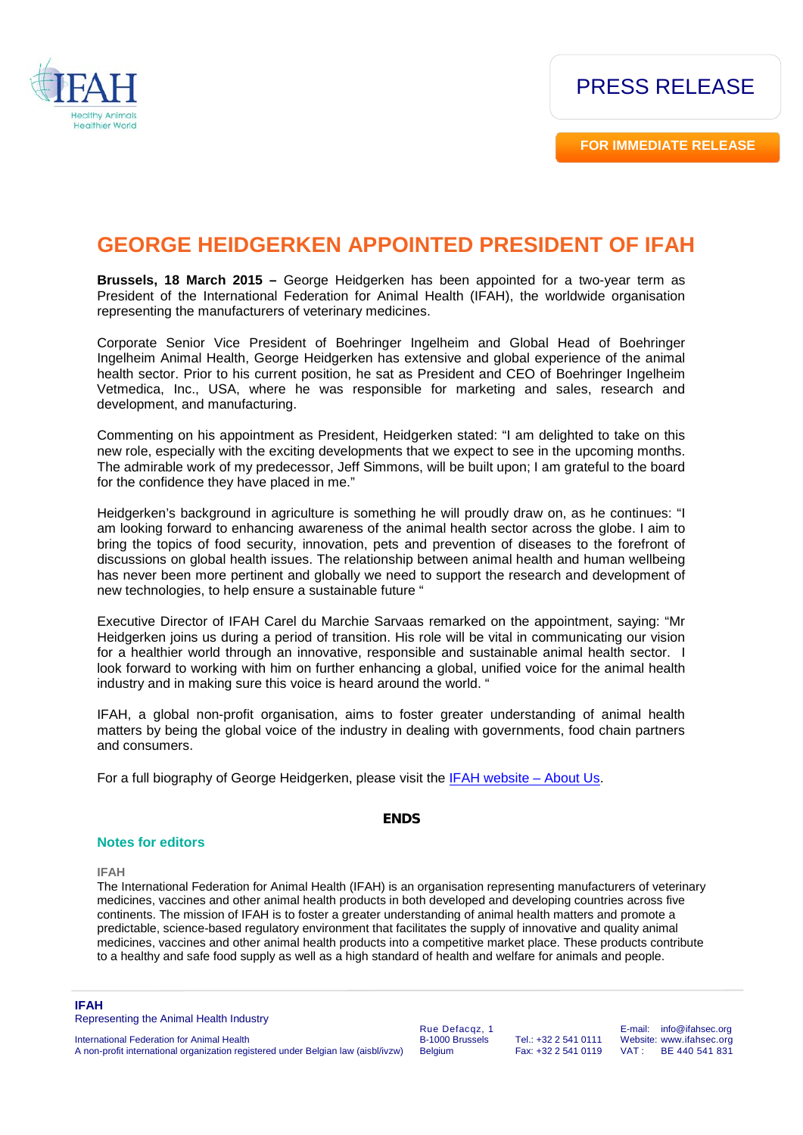

**FOR IMMEDIATE RELEASE**

## **GEORGE HEIDGERKEN APPOINTED PRESIDENT OF IFAH**

**Brussels, 18 March 2015 –** George Heidgerken has been appointed for a two-year term as President of the International Federation for Animal Health (IFAH), the worldwide organisation representing the manufacturers of veterinary medicines.

Corporate Senior Vice President of Boehringer Ingelheim and Global Head of Boehringer Ingelheim Animal Health, George Heidgerken has extensive and global experience of the animal health sector. Prior to his current position, he sat as President and CEO of Boehringer Ingelheim Vetmedica, Inc., USA, where he was responsible for marketing and sales, research and development, and manufacturing.

Commenting on his appointment as President, Heidgerken stated: "I am delighted to take on this new role, especially with the exciting developments that we expect to see in the upcoming months. The admirable work of my predecessor, Jeff Simmons, will be built upon; I am grateful to the board for the confidence they have placed in me."

Heidgerken's background in agriculture is something he will proudly draw on, as he continues: "I am looking forward to enhancing awareness of the animal health sector across the globe. I aim to bring the topics of food security, innovation, pets and prevention of diseases to the forefront of discussions on global health issues. The relationship between animal health and human wellbeing has never been more pertinent and globally we need to support the research and development of new technologies, to help ensure a sustainable future "

Executive Director of IFAH Carel du Marchie Sarvaas remarked on the appointment, saying: "Mr Heidgerken joins us during a period of transition. His role will be vital in communicating our vision for a healthier world through an innovative, responsible and sustainable animal health sector. I look forward to working with him on further enhancing a global, unified voice for the animal health industry and in making sure this voice is heard around the world. "

IFAH, a global non-profit organisation, aims to foster greater understanding of animal health matters by being the global voice of the industry in dealing with governments, food chain partners and consumers.

For a full biography of George Heidgerken, please visit the [IFAH website –](http://www.ifahsec.org/who-we-are/about-us/) About Us.

## **ENDS**

## **Notes for editors**

**IFAH**

The International Federation for Animal Health (IFAH) is an organisation representing manufacturers of veterinary medicines, vaccines and other animal health products in both developed and developing countries across five continents. The mission of IFAH is to foster a greater understanding of animal health matters and promote a predictable, science-based regulatory environment that facilitates the supply of innovative and quality animal medicines, vaccines and other animal health products into a competitive market place. These products contribute to a healthy and safe food supply as well as a high standard of health and welfare for animals and people.

**IFAH** Representing the Animal Health Industry

International Federation for Animal Health A non-profit international organization registered under Belgian law (aisbl/ivzw)

Rue Defacqz, 1 B-1000 Brussels Belgium

Tel.: +32 2 541 0111 Fax: +32 2 541 0119 E-mail: info@ifahsec.org Website: www.ifahsec.org<br>VAT: BE 440 541 831 BE 440 541 831